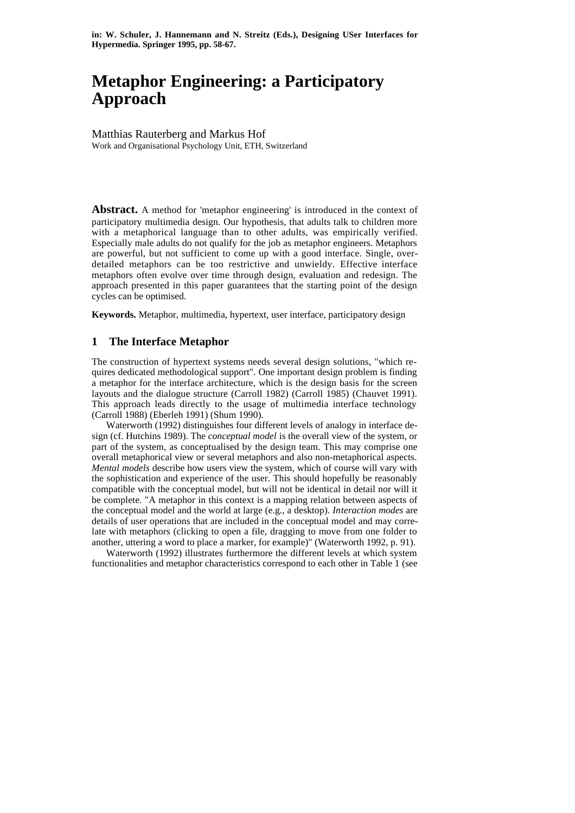# **Metaphor Engineering: a Participatory Approach**

Matthias Rauterberg and Markus Hof Work and Organisational Psychology Unit, ETH, Switzerland

**Abstract.** A method for 'metaphor engineering' is introduced in the context of participatory multimedia design. Our hypothesis, that adults talk to children more with a metaphorical language than to other adults, was empirically verified. Especially male adults do not qualify for the job as metaphor engineers. Metaphors are powerful, but not sufficient to come up with a good interface. Single, overdetailed metaphors can be too restrictive and unwieldy. Effective interface metaphors often evolve over time through design, evaluation and redesign. The approach presented in this paper guarantees that the starting point of the design cycles can be optimised.

**Keywords.** Metaphor, multimedia, hypertext, user interface, participatory design

## **1 The Interface Metaphor**

The construction of hypertext systems needs several design solutions, "which requires dedicated methodological support". One important design problem is finding a metaphor for the interface architecture, which is the design basis for the screen layouts and the dialogue structure (Carroll 1982) (Carroll 1985) (Chauvet 1991). This approach leads directly to the usage of multimedia interface technology (Carroll 1988) (Eberleh 1991) (Shum 1990).

Waterworth (1992) distinguishes four different levels of analogy in interface design (cf. Hutchins 1989). The *conceptual model* is the overall view of the system, or part of the system, as conceptualised by the design team. This may comprise one overall metaphorical view or several metaphors and also non-metaphorical aspects. *Mental models* describe how users view the system, which of course will vary with the sophistication and experience of the user. This should hopefully be reasonably compatible with the conceptual model, but will not be identical in detail nor will it be complete. "A metaphor in this context is a mapping relation between aspects of the conceptual model and the world at large (e.g., a desktop). *Interaction modes* are details of user operations that are included in the conceptual model and may correlate with metaphors (clicking to open a file, dragging to move from one folder to another, uttering a word to place a marker, for example)" (Waterworth 1992, p. 91).

Waterworth (1992) illustrates furthermore the different levels at which system functionalities and metaphor characteristics correspond to each other in Table 1 (see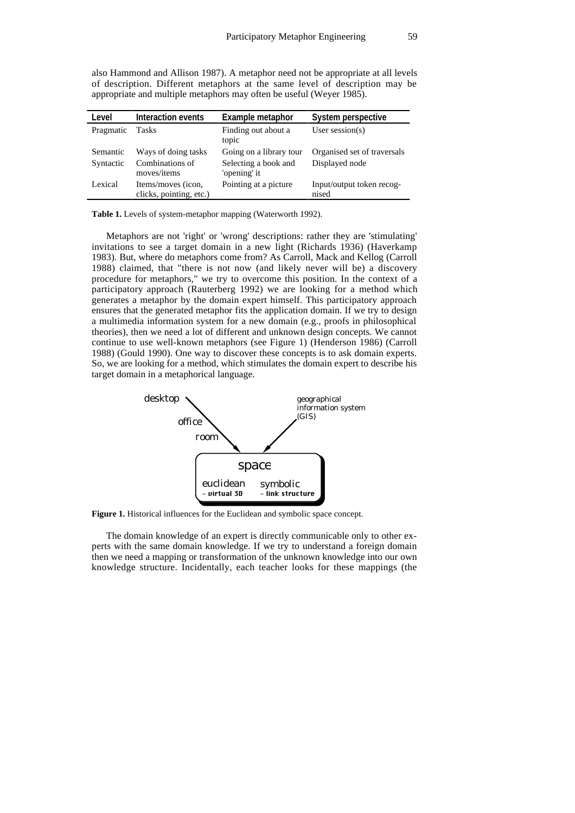| Level     | Interaction events                            | Example metaphor                     | System perspective                 |
|-----------|-----------------------------------------------|--------------------------------------|------------------------------------|
| Pragmatic | Tasks                                         | Finding out about a<br>topic         | User session $(s)$                 |
| Semantic  | Ways of doing tasks                           | Going on a library tour              | Organised set of traversals        |
| Syntactic | Combinations of<br>moves/items                | Selecting a book and<br>'opening' it | Displayed node                     |
| Lexical   | Items/moves (icon,<br>clicks, pointing, etc.) | Pointing at a picture                | Input/output token recog-<br>nised |

also Hammond and Allison 1987). A metaphor need not be appropriate at all levels of description. Different metaphors at the same level of description may be appropriate and multiple metaphors may often be useful (Weyer 1985).

**Table 1.** Levels of system-metaphor mapping (Waterworth 1992).

Metaphors are not 'right' or 'wrong' descriptions: rather they are 'stimulating' invitations to see a target domain in a new light (Richards 1936) (Haverkamp 1983). But, where do metaphors come from? As Carroll, Mack and Kellog (Carroll 1988) claimed, that "there is not now (and likely never will be) a discovery procedure for metaphors," we try to overcome this position. In the context of a participatory approach (Rauterberg 1992) we are looking for a method which generates a metaphor by the domain expert himself. This participatory approach ensures that the generated metaphor fits the application domain. If we try to design a multimedia information system for a new domain (e.g., proofs in philosophical theories), then we need a lot of different and unknown design concepts. We cannot continue to use well-known metaphors (see Figure 1) (Henderson 1986) (Carroll 1988) (Gould 1990). One way to discover these concepts is to ask domain experts. So, we are looking for a method, which stimulates the domain expert to describe his target domain in a metaphorical language.



**Figure 1.** Historical influences for the Euclidean and symbolic space concept.

The domain knowledge of an expert is directly communicable only to other experts with the same domain knowledge. If we try to understand a foreign domain then we need a mapping or transformation of the unknown knowledge into our own knowledge structure. Incidentally, each teacher looks for these mappings (the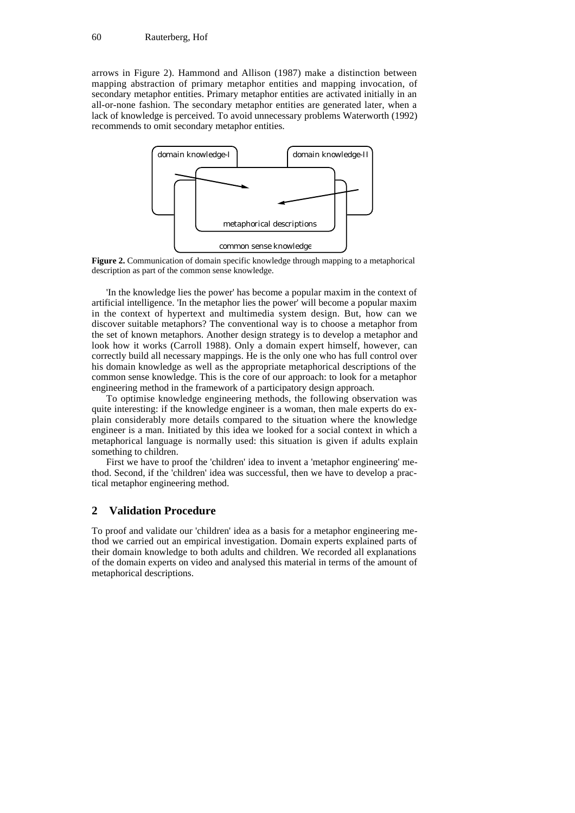arrows in Figure 2). Hammond and Allison (1987) make a distinction between mapping abstraction of primary metaphor entities and mapping invocation, of secondary metaphor entities. Primary metaphor entities are activated initially in an all-or-none fashion. The secondary metaphor entities are generated later, when a lack of knowledge is perceived. To avoid unnecessary problems Waterworth (1992) recommends to omit secondary metaphor entities.



**Figure 2.** Communication of domain specific knowledge through mapping to a metaphorical description as part of the common sense knowledge.

'In the knowledge lies the power' has become a popular maxim in the context of artificial intelligence. 'In the metaphor lies the power' will become a popular maxim in the context of hypertext and multimedia system design. But, how can we discover suitable metaphors? The conventional way is to choose a metaphor from the set of known metaphors. Another design strategy is to develop a metaphor and look how it works (Carroll 1988). Only a domain expert himself, however, can correctly build all necessary mappings. He is the only one who has full control over his domain knowledge as well as the appropriate metaphorical descriptions of the common sense knowledge. This is the core of our approach: to look for a metaphor engineering method in the framework of a participatory design approach.

To optimise knowledge engineering methods, the following observation was quite interesting: if the knowledge engineer is a woman, then male experts do explain considerably more details compared to the situation where the knowledge engineer is a man. Initiated by this idea we looked for a social context in which a metaphorical language is normally used: this situation is given if adults explain something to children.

First we have to proof the 'children' idea to invent a 'metaphor engineering' method. Second, if the 'children' idea was successful, then we have to develop a practical metaphor engineering method.

## **2 Validation Procedure**

To proof and validate our 'children' idea as a basis for a metaphor engineering method we carried out an empirical investigation. Domain experts explained parts of their domain knowledge to both adults and children. We recorded all explanations of the domain experts on video and analysed this material in terms of the amount of metaphorical descriptions.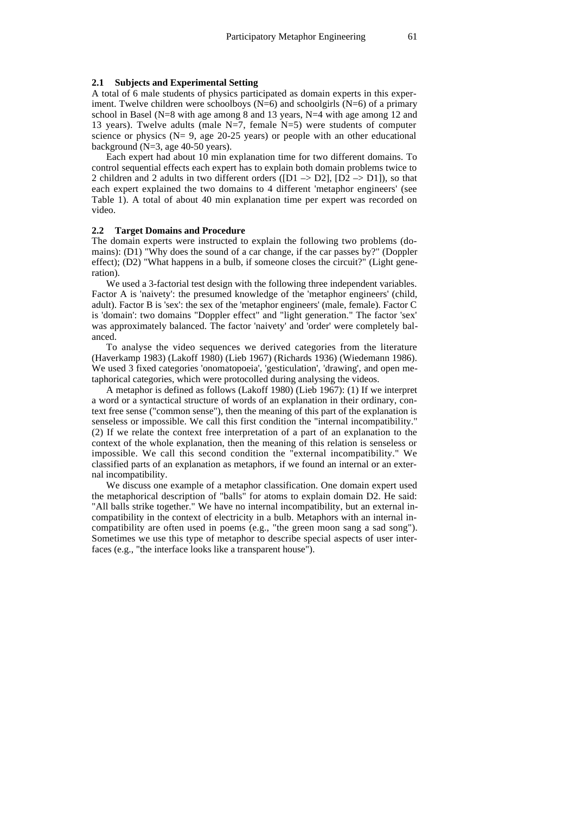## **2.1 Subjects and Experimental Setting**

A total of 6 male students of physics participated as domain experts in this experiment. Twelve children were schoolboys  $(N=6)$  and schoolgirls  $(N=6)$  of a primary school in Basel (N=8 with age among 8 and 13 years, N=4 with age among 12 and 13 years). Twelve adults (male  $N=7$ , female  $N=5$ ) were students of computer science or physics (N= 9, age 20-25 years) or people with an other educational background (N=3, age 40-50 years).

Each expert had about 10 min explanation time for two different domains. To control sequential effects each expert has to explain both domain problems twice to 2 children and 2 adults in two different orders ( $[D1 \rightarrow D2]$ ,  $[D2 \rightarrow D1]$ ), so that each expert explained the two domains to 4 different 'metaphor engineers' (see Table 1). A total of about 40 min explanation time per expert was recorded on video.

### **2.2 Target Domains and Procedure**

The domain experts were instructed to explain the following two problems (domains): (D1) "Why does the sound of a car change, if the car passes by?" (Doppler effect); (D2) "What happens in a bulb, if someone closes the circuit?" (Light generation).

We used a 3-factorial test design with the following three independent variables. Factor A is 'naivety': the presumed knowledge of the 'metaphor engineers' (child, adult). Factor B is 'sex': the sex of the 'metaphor engineers' (male, female). Factor C is 'domain': two domains "Doppler effect" and "light generation." The factor 'sex' was approximately balanced. The factor 'naivety' and 'order' were completely balanced.

To analyse the video sequences we derived categories from the literature (Haverkamp 1983) (Lakoff 1980) (Lieb 1967) (Richards 1936) (Wiedemann 1986). We used 3 fixed categories 'onomatopoeia', 'gesticulation', 'drawing', and open metaphorical categories, which were protocolled during analysing the videos.

A metaphor is defined as follows (Lakoff 1980) (Lieb 1967): (1) If we interpret a word or a syntactical structure of words of an explanation in their ordinary, context free sense ("common sense"), then the meaning of this part of the explanation is senseless or impossible. We call this first condition the "internal incompatibility." (2) If we relate the context free interpretation of a part of an explanation to the context of the whole explanation, then the meaning of this relation is senseless or impossible. We call this second condition the "external incompatibility." We classified parts of an explanation as metaphors, if we found an internal or an external incompatibility.

We discuss one example of a metaphor classification. One domain expert used the metaphorical description of "balls" for atoms to explain domain D2. He said: "All balls strike together." We have no internal incompatibility, but an external incompatibility in the context of electricity in a bulb. Metaphors with an internal incompatibility are often used in poems (e.g., "the green moon sang a sad song"). Sometimes we use this type of metaphor to describe special aspects of user interfaces (e.g., "the interface looks like a transparent house").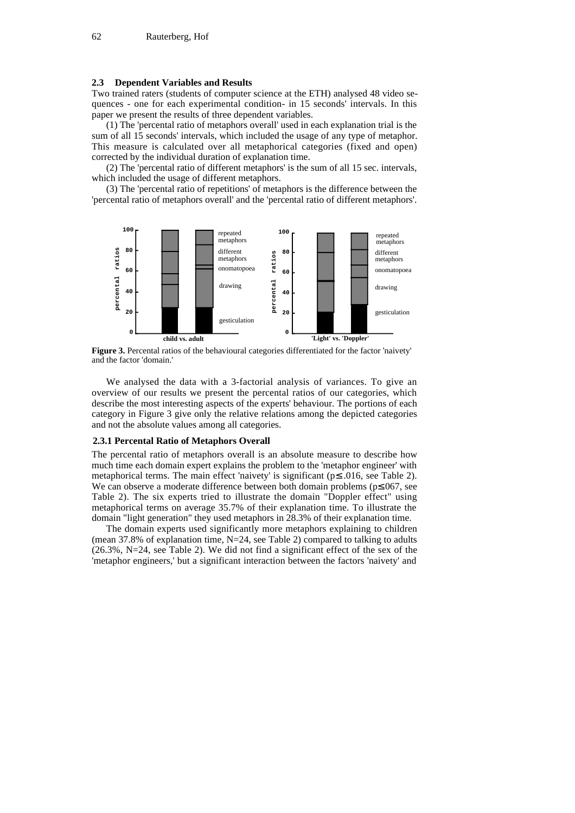## **2.3 Dependent Variables and Results**

Two trained raters (students of computer science at the ETH) analysed 48 video sequences - one for each experimental condition- in 15 seconds' intervals. In this paper we present the results of three dependent variables.

(1) The 'percental ratio of metaphors overall' used in each explanation trial is the sum of all 15 seconds' intervals, which included the usage of any type of metaphor. This measure is calculated over all metaphorical categories (fixed and open) corrected by the individual duration of explanation time.

(2) The 'percental ratio of different metaphors' is the sum of all 15 sec. intervals, which included the usage of different metaphors.

(3) The 'percental ratio of repetitions' of metaphors is the difference between the 'percental ratio of metaphors overall' and the 'percental ratio of different metaphors'.



**Figure 3.** Percental ratios of the behavioural categories differentiated for the factor 'naivety' and the factor 'domain.'

We analysed the data with a 3-factorial analysis of variances. To give an overview of our results we present the percental ratios of our categories, which describe the most interesting aspects of the experts' behaviour. The portions of each category in Figure 3 give only the relative relations among the depicted categories and not the absolute values among all categories.

## **2.3.1 Percental Ratio of Metaphors Overall**

The percental ratio of metaphors overall is an absolute measure to describe how much time each domain expert explains the problem to the 'metaphor engineer' with metaphorical terms. The main effect 'naivety' is significant ( $p \leq .016$ , see Table 2). We can observe a moderate difference between both domain problems (p≤.067, see Table 2). The six experts tried to illustrate the domain "Doppler effect" using metaphorical terms on average 35.7% of their explanation time. To illustrate the domain "light generation" they used metaphors in 28.3% of their explanation time.

The domain experts used significantly more metaphors explaining to children (mean 37.8% of explanation time, N=24, see Table 2) compared to talking to adults (26.3%, N=24, see Table 2). We did not find a significant effect of the sex of the 'metaphor engineers,' but a significant interaction between the factors 'naivety' and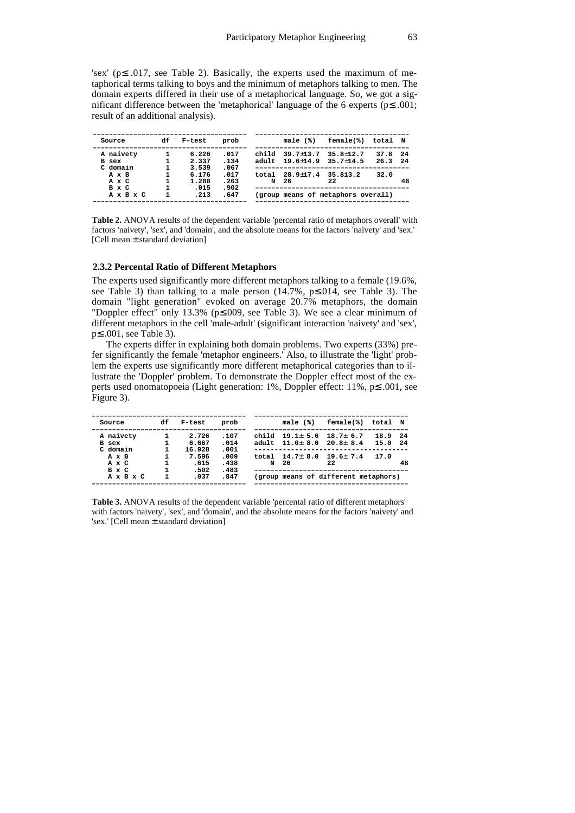'sex' ( $p \le 0.017$ , see Table 2). Basically, the experts used the maximum of metaphorical terms talking to boys and the minimum of metaphors talking to men. The domain experts differed in their use of a metaphorical language. So, we got a significant difference between the 'metaphorical' language of the 6 experts ( $p \le 0.001$ ; result of an additional analysis).

| Source                | df | F-test | prob |                                    | $male$ $(*)$                | female(%) total N |      |     |
|-----------------------|----|--------|------|------------------------------------|-----------------------------|-------------------|------|-----|
| A naivety             |    | 6.226  | .017 | child –                            | $39.7 + 13.7$ $35.8 + 12.7$ |                   | 37.8 | 24  |
| B sex                 |    | 2.337  | .134 |                                    | $adult$ 19.6+14.9 35.7+14.5 |                   | 26.3 | 2.4 |
| C domain              |    | 3.539  | .067 |                                    |                             |                   |      |     |
| AxB                   |    | 6.176  | .017 | total                              | $28.9 + 17.4$ 35.813.2      |                   | 32.0 |     |
| AxC                   |    | 1,288  | .263 | N                                  | 26                          | 22                |      | 48  |
| B x C                 |    | .015   | .902 |                                    |                             |                   |      |     |
| $A \times B \times C$ |    | .213   | .647 | (group means of metaphors overall) |                             |                   |      |     |
|                       |    |        |      |                                    |                             |                   |      |     |

**Table 2.** ANOVA results of the dependent variable 'percental ratio of metaphors overall' with factors 'naivety', 'sex', and 'domain', and the absolute means for the factors 'naivety' and 'sex.' [Cell mean ± standard deviation]

#### **2.3.2 Percental Ratio of Different Metaphors**

The experts used significantly more different metaphors talking to a female (19.6%, see Table 3) than talking to a male person (14.7%, p≤.014, see Table 3). The domain "light generation" evoked on average 20.7% metaphors, the domain "Doppler effect" only 13.3% (p≤.009, see Table 3). We see a clear minimum of different metaphors in the cell 'male-adult' (significant interaction 'naivety' and 'sex', p≤ .001, see Table 3).

The experts differ in explaining both domain problems. Two experts (33%) prefer significantly the female 'metaphor engineers.' Also, to illustrate the 'light' problem the experts use significantly more different metaphorical categories than to illustrate the 'Doppler' problem. To demonstrate the Doppler effect most of the experts used onomatopoeia (Light generation: 1%, Doppler effect: 11%, p≤ .001, see Figure 3).

| Source                                | df      | F-test                   | prob                 |       | male(8)                                                  | female(%)                            | total N      |            |
|---------------------------------------|---------|--------------------------|----------------------|-------|----------------------------------------------------------|--------------------------------------|--------------|------------|
| A naivety<br><b>B</b> sex<br>C domain |         | 2.726<br>6.667<br>16.928 | .107<br>.014<br>.001 | child | $19.1 + 5.6$ $18.7 + 6.7$<br>adult $11.0+8.0$ $20.8+8.4$ |                                      | 18.9<br>15.0 | 2.4<br>2.4 |
| AxB<br>AxC                            | 1       | 7.596<br>.615            | - 009<br>.438        |       | total $14.7+8.0$ $19.6+7.4$<br>N 26                      | 22                                   | 17.0         | 48         |
| B x C<br>AxBxC                        | 1<br>1. | .502<br>.037             | .483<br>.847         |       |                                                          | (group means of different metaphors) |              |            |
|                                       |         |                          |                      |       |                                                          |                                      |              |            |

**Table 3.** ANOVA results of the dependent variable 'percental ratio of different metaphors' with factors 'naivety', 'sex', and 'domain', and the absolute means for the factors 'naivety' and 'sex.' [Cell mean ± standard deviation]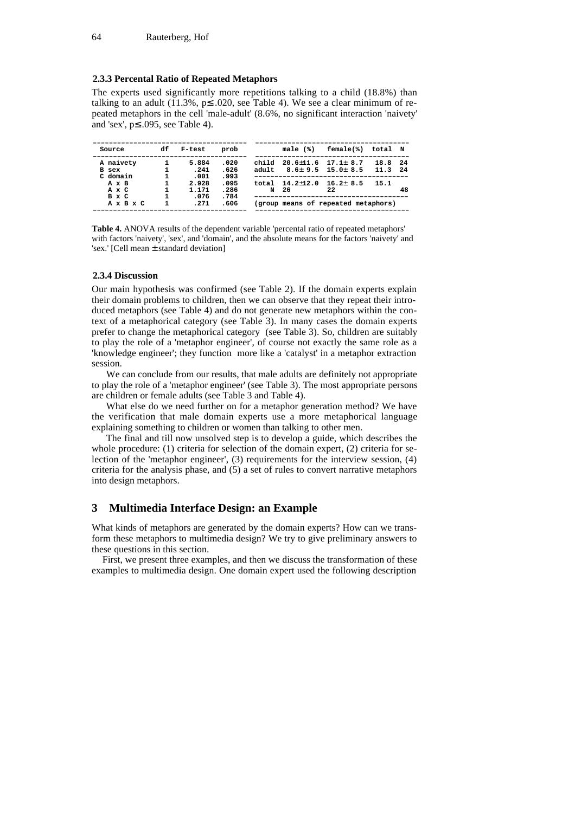## **2.3.3 Percental Ratio of Repeated Metaphors**

The experts used significantly more repetitions talking to a child (18.8%) than talking to an adult (11.3%,  $p \le 0.020$ , see Table 4). We see a clear minimum of repeated metaphors in the cell 'male-adult' (8.6%, no significant interaction 'naivety' and 'sex', p≤ .095, see Table 4).

| Source                                | df | F-test                | prob                 |                                     | male(8)                           | female(%)              | total N      |           |
|---------------------------------------|----|-----------------------|----------------------|-------------------------------------|-----------------------------------|------------------------|--------------|-----------|
| A naivety<br><b>B</b> sex<br>C domain | 1  | 5.884<br>.241<br>.001 | .020<br>.626<br>.993 | child.<br>adult                     | $20.6 + 11.6$ 17.1+ 8.7           | $8.6 + 9.5$ 15.0 + 8.5 | 18.8<br>11.3 | 24<br>2.4 |
| AxB<br>AxC                            |    | 2.928<br>1.171        | .095<br>.286         | total<br>N                          | $14.2 + 12.0$ $16.2 + 8.5$<br>-26 | 22                     | 15.1         | 48        |
| B x C<br>AxBxC                        | 1  | .076<br>.271          | .784<br>.606         | (group means of repeated metaphors) |                                   |                        |              |           |

**Table 4.** ANOVA results of the dependent variable 'percental ratio of repeated metaphors' with factors 'naivety', 'sex', and 'domain', and the absolute means for the factors 'naivety' and 'sex.' [Cell mean ± standard deviation]

#### **2.3.4 Discussion**

Our main hypothesis was confirmed (see Table 2). If the domain experts explain their domain problems to children, then we can observe that they repeat their introduced metaphors (see Table 4) and do not generate new metaphors within the context of a metaphorical category (see Table 3). In many cases the domain experts prefer to change the metaphorical category (see Table 3). So, children are suitably to play the role of a 'metaphor engineer', of course not exactly the same role as a 'knowledge engineer'; they function more like a 'catalyst' in a metaphor extraction session.

We can conclude from our results, that male adults are definitely not appropriate to play the role of a 'metaphor engineer' (see Table 3). The most appropriate persons are children or female adults (see Table 3 and Table 4).

What else do we need further on for a metaphor generation method? We have the verification that male domain experts use a more metaphorical language explaining something to children or women than talking to other men.

The final and till now unsolved step is to develop a guide, which describes the whole procedure: (1) criteria for selection of the domain expert, (2) criteria for selection of the 'metaphor engineer', (3) requirements for the interview session, (4) criteria for the analysis phase, and (5) a set of rules to convert narrative metaphors into design metaphors.

# **3 Multimedia Interface Design: an Example**

What kinds of metaphors are generated by the domain experts? How can we transform these metaphors to multimedia design? We try to give preliminary answers to these questions in this section.

First, we present three examples, and then we discuss the transformation of these examples to multimedia design. One domain expert used the following description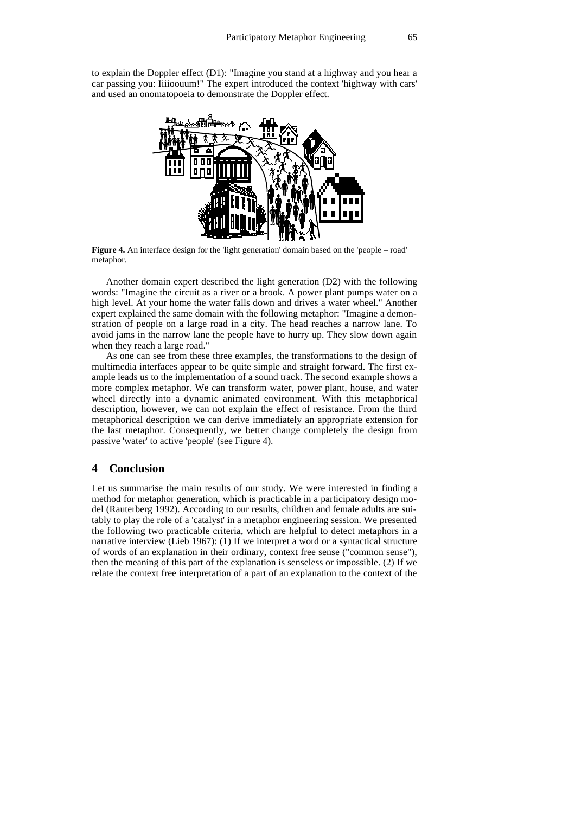to explain the Doppler effect (D1): "Imagine you stand at a highway and you hear a car passing you: Iiiioouum!" The expert introduced the context 'highway with cars' and used an onomatopoeia to demonstrate the Doppler effect.



Figure 4. An interface design for the 'light generation' domain based on the 'people – road' metaphor.

Another domain expert described the light generation (D2) with the following words: "Imagine the circuit as a river or a brook. A power plant pumps water on a high level. At your home the water falls down and drives a water wheel." Another expert explained the same domain with the following metaphor: "Imagine a demonstration of people on a large road in a city. The head reaches a narrow lane. To avoid jams in the narrow lane the people have to hurry up. They slow down again when they reach a large road."

As one can see from these three examples, the transformations to the design of multimedia interfaces appear to be quite simple and straight forward. The first example leads us to the implementation of a sound track. The second example shows a more complex metaphor. We can transform water, power plant, house, and water wheel directly into a dynamic animated environment. With this metaphorical description, however, we can not explain the effect of resistance. From the third metaphorical description we can derive immediately an appropriate extension for the last metaphor. Consequently, we better change completely the design from passive 'water' to active 'people' (see Figure 4).

# **4 Conclusion**

Let us summarise the main results of our study. We were interested in finding a method for metaphor generation, which is practicable in a participatory design model (Rauterberg 1992). According to our results, children and female adults are suitably to play the role of a 'catalyst' in a metaphor engineering session. We presented the following two practicable criteria, which are helpful to detect metaphors in a narrative interview (Lieb 1967): (1) If we interpret a word or a syntactical structure of words of an explanation in their ordinary, context free sense ("common sense"), then the meaning of this part of the explanation is senseless or impossible. (2) If we relate the context free interpretation of a part of an explanation to the context of the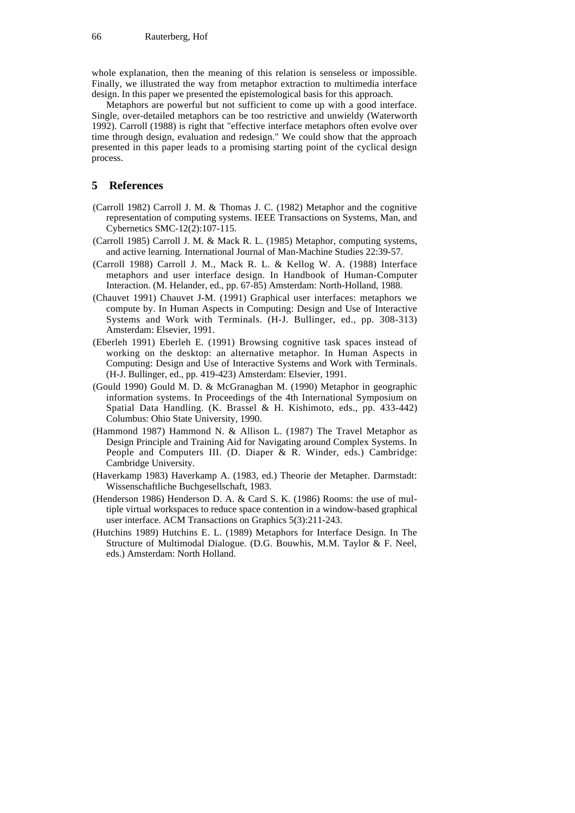whole explanation, then the meaning of this relation is senseless or impossible. Finally, we illustrated the way from metaphor extraction to multimedia interface design. In this paper we presented the epistemological basis for this approach.

Metaphors are powerful but not sufficient to come up with a good interface. Single, over-detailed metaphors can be too restrictive and unwieldy (Waterworth 1992). Carroll (1988) is right that "effective interface metaphors often evolve over time through design, evaluation and redesign." We could show that the approach presented in this paper leads to a promising starting point of the cyclical design process.

# **5 References**

- (Carroll 1982) Carroll J. M. & Thomas J. C. (1982) Metaphor and the cognitive representation of computing systems. IEEE Transactions on Systems, Man, and Cybernetics SMC-12(2):107-115.
- (Carroll 1985) Carroll J. M. & Mack R. L. (1985) Metaphor, computing systems, and active learning. International Journal of Man-Machine Studies 22:39-57.
- (Carroll 1988) Carroll J. M., Mack R. L. & Kellog W. A. (1988) Interface metaphors and user interface design. In Handbook of Human-Computer Interaction. (M. Helander, ed., pp. 67-85) Amsterdam: North-Holland, 1988.
- (Chauvet 1991) Chauvet J-M. (1991) Graphical user interfaces: metaphors we compute by. In Human Aspects in Computing: Design and Use of Interactive Systems and Work with Terminals. (H-J. Bullinger, ed., pp. 308-313) Amsterdam: Elsevier, 1991.
- (Eberleh 1991) Eberleh E. (1991) Browsing cognitive task spaces instead of working on the desktop: an alternative metaphor. In Human Aspects in Computing: Design and Use of Interactive Systems and Work with Terminals. (H-J. Bullinger, ed., pp. 419-423) Amsterdam: Elsevier, 1991.
- (Gould 1990) Gould M. D. & McGranaghan M. (1990) Metaphor in geographic information systems. In Proceedings of the 4th International Symposium on Spatial Data Handling. (K. Brassel & H. Kishimoto, eds., pp. 433-442) Columbus: Ohio State University, 1990.
- (Hammond 1987) Hammond N. & Allison L. (1987) The Travel Metaphor as Design Principle and Training Aid for Navigating around Complex Systems. In People and Computers III. (D. Diaper & R. Winder, eds.) Cambridge: Cambridge University.
- (Haverkamp 1983) Haverkamp A. (1983, ed.) Theorie der Metapher. Darmstadt: Wissenschaftliche Buchgesellschaft, 1983.
- (Henderson 1986) Henderson D. A. & Card S. K. (1986) Rooms: the use of multiple virtual workspaces to reduce space contention in a window-based graphical user interface. ACM Transactions on Graphics 5(3):211-243.
- (Hutchins 1989) Hutchins E. L. (1989) Metaphors for Interface Design. In The Structure of Multimodal Dialogue. (D.G. Bouwhis, M.M. Taylor & F. Neel, eds.) Amsterdam: North Holland.